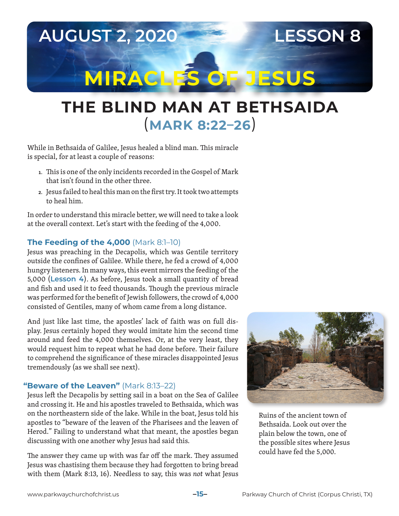**AUGUST 2, 2020 LESSON 8**

# **MIRACLES OF JESUS**

# **THE BLIND MAN AT BETHSAIDA** (**MARK 8:22–26**)

While in Bethsaida of Galilee, Jesus healed a blind man. This miracle is special, for at least a couple of reasons:

- **1.** This is one of the only incidents recorded in the Gospel of Mark that isn't found in the other three.
- **2.** Jesus failed to heal this man on the first try. It took two attempts to heal him.

In order to understand this miracle better, we will need to take a look at the overall context. Let's start with the feeding of the 4,000.

#### **The Feeding of the 4,000** (Mark 8:1–10)

Jesus was preaching in the Decapolis, which was Gentile territory outside the confines of Galilee. While there, he fed a crowd of 4,000 hungry listeners. In many ways, this event mirrors the feeding of the 5,000 (**Lesson 4**). As before, Jesus took a small quantity of bread and fish and used it to feed thousands. Though the previous miracle was performed for the benefit of Jewish followers, the crowd of 4,000 consisted of Gentiles, many of whom came from a long distance.

And just like last time, the apostles' lack of faith was on full display. Jesus certainly hoped they would imitate him the second time around and feed the 4,000 themselves. Or, at the very least, they would request him to repeat what he had done before. Their failure to comprehend the significance of these miracles disappointed Jesus tremendously (as we shall see next).

#### **"Beware of the Leaven"** (Mark 8:13–22)

Jesus left the Decapolis by setting sail in a boat on the Sea of Galilee and crossing it. He and his apostles traveled to Bethsaida, which was on the northeastern side of the lake. While in the boat, Jesus told his apostles to "beware of the leaven of the Pharisees and the leaven of Herod." Failing to understand what that meant, the apostles began discussing with one another why Jesus had said this.

The answer they came up with was far off the mark. They assumed Jesus was chastising them because they had forgotten to bring bread with them (Mark 8:13, 16). Needless to say, this was *not* what Jesus



Ruins of the ancient town of Bethsaida. Look out over the plain below the town, one of the possible sites where Jesus could have fed the 5,000.